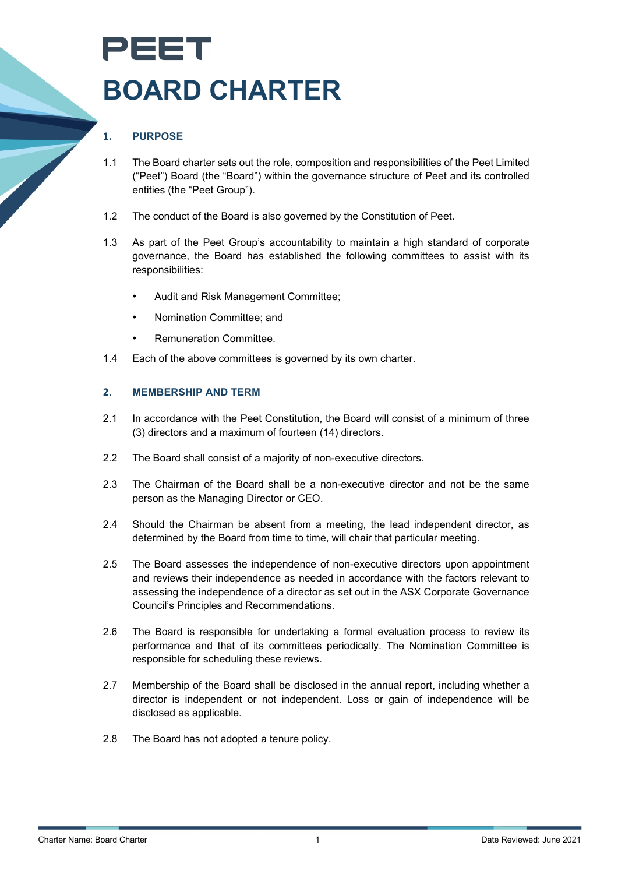# PEET **BOARD CHARTER**

### **1. PURPOSE**

- 1.1 The Board charter sets out the role, composition and responsibilities of the Peet Limited ("Peet") Board (the "Board") within the governance structure of Peet and its controlled entities (the "Peet Group").
- 1.2 The conduct of the Board is also governed by the Constitution of Peet.
- 1.3 As part of the Peet Group's accountability to maintain a high standard of corporate governance, the Board has established the following committees to assist with its responsibilities:
	- Audit and Risk Management Committee;
	- Nomination Committee; and
	- Remuneration Committee.
- 1.4 Each of the above committees is governed by its own charter.

#### **2. MEMBERSHIP AND TERM**

- 2.1 In accordance with the Peet Constitution, the Board will consist of a minimum of three (3) directors and a maximum of fourteen (14) directors.
- 2.2 The Board shall consist of a majority of non-executive directors.
- 2.3 The Chairman of the Board shall be a non-executive director and not be the same person as the Managing Director or CEO.
- 2.4 Should the Chairman be absent from a meeting, the lead independent director, as determined by the Board from time to time, will chair that particular meeting.
- 2.5 The Board assesses the independence of non-executive directors upon appointment and reviews their independence as needed in accordance with the factors relevant to assessing the independence of a director as set out in the ASX Corporate Governance Council's Principles and Recommendations.
- 2.6 The Board is responsible for undertaking a formal evaluation process to review its performance and that of its committees periodically. The Nomination Committee is responsible for scheduling these reviews.
- 2.7 Membership of the Board shall be disclosed in the annual report, including whether a director is independent or not independent. Loss or gain of independence will be disclosed as applicable.
- 2.8 The Board has not adopted a tenure policy.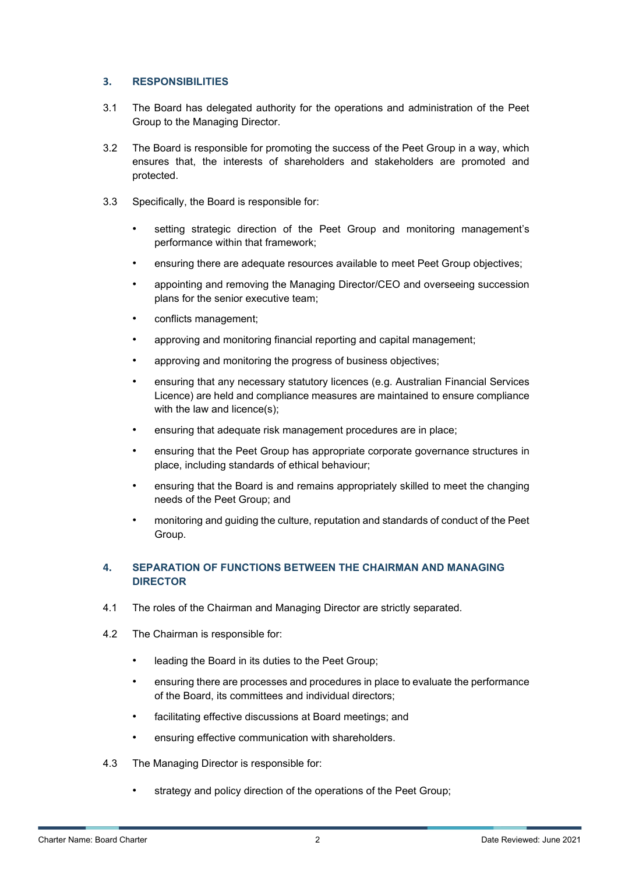#### **3. RESPONSIBILITIES**

- 3.1 The Board has delegated authority for the operations and administration of the Peet Group to the Managing Director.
- 3.2 The Board is responsible for promoting the success of the Peet Group in a way, which ensures that, the interests of shareholders and stakeholders are promoted and protected.
- 3.3 Specifically, the Board is responsible for:
	- setting strategic direction of the Peet Group and monitoring management's performance within that framework;
	- ensuring there are adequate resources available to meet Peet Group objectives;
	- appointing and removing the Managing Director/CEO and overseeing succession plans for the senior executive team;
	- conflicts management;
	- approving and monitoring financial reporting and capital management;
	- approving and monitoring the progress of business objectives;
	- ensuring that any necessary statutory licences (e.g. Australian Financial Services Licence) are held and compliance measures are maintained to ensure compliance with the law and licence(s);
	- ensuring that adequate risk management procedures are in place;
	- ensuring that the Peet Group has appropriate corporate governance structures in place, including standards of ethical behaviour;
	- ensuring that the Board is and remains appropriately skilled to meet the changing needs of the Peet Group; and
	- monitoring and guiding the culture, reputation and standards of conduct of the Peet Group.

## **4. SEPARATION OF FUNCTIONS BETWEEN THE CHAIRMAN AND MANAGING DIRECTOR**

- 4.1 The roles of the Chairman and Managing Director are strictly separated.
- 4.2 The Chairman is responsible for:
	- leading the Board in its duties to the Peet Group;
	- ensuring there are processes and procedures in place to evaluate the performance of the Board, its committees and individual directors;
	- facilitating effective discussions at Board meetings; and
	- ensuring effective communication with shareholders.
- 4.3 The Managing Director is responsible for:
	- strategy and policy direction of the operations of the Peet Group;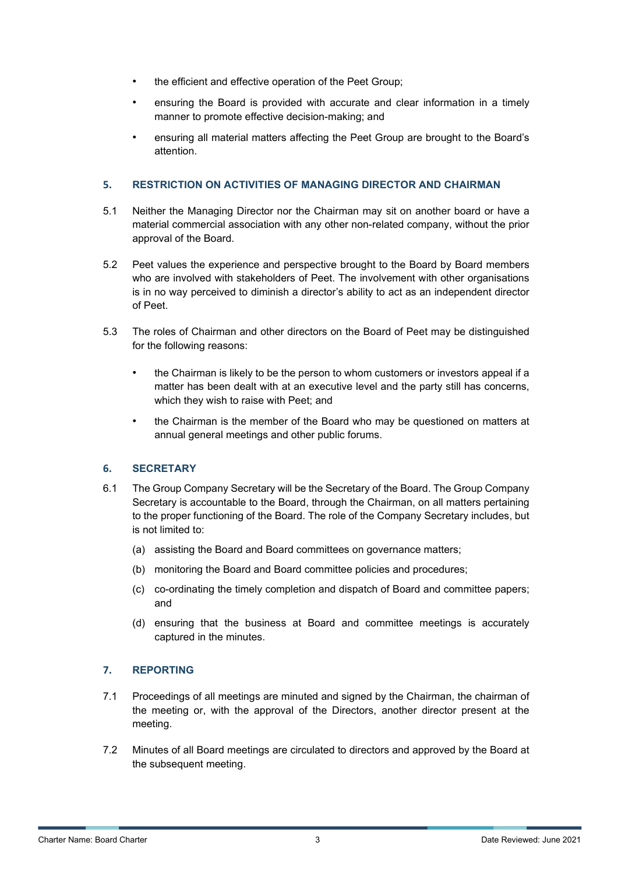- the efficient and effective operation of the Peet Group;
- ensuring the Board is provided with accurate and clear information in a timely manner to promote effective decision-making; and
- ensuring all material matters affecting the Peet Group are brought to the Board's attention.

#### **5. RESTRICTION ON ACTIVITIES OF MANAGING DIRECTOR AND CHAIRMAN**

- 5.1 Neither the Managing Director nor the Chairman may sit on another board or have a material commercial association with any other non-related company, without the prior approval of the Board.
- 5.2 Peet values the experience and perspective brought to the Board by Board members who are involved with stakeholders of Peet. The involvement with other organisations is in no way perceived to diminish a director's ability to act as an independent director of Peet.
- 5.3 The roles of Chairman and other directors on the Board of Peet may be distinguished for the following reasons:
	- the Chairman is likely to be the person to whom customers or investors appeal if a matter has been dealt with at an executive level and the party still has concerns, which they wish to raise with Peet; and
	- the Chairman is the member of the Board who may be questioned on matters at annual general meetings and other public forums.

#### **6. SECRETARY**

- 6.1 The Group Company Secretary will be the Secretary of the Board. The Group Company Secretary is accountable to the Board, through the Chairman, on all matters pertaining to the proper functioning of the Board. The role of the Company Secretary includes, but is not limited to:
	- (a) assisting the Board and Board committees on governance matters;
	- (b) monitoring the Board and Board committee policies and procedures;
	- (c) co-ordinating the timely completion and dispatch of Board and committee papers; and
	- (d) ensuring that the business at Board and committee meetings is accurately captured in the minutes.

#### **7. REPORTING**

- 7.1 Proceedings of all meetings are minuted and signed by the Chairman, the chairman of the meeting or, with the approval of the Directors, another director present at the meeting.
- 7.2 Minutes of all Board meetings are circulated to directors and approved by the Board at the subsequent meeting.